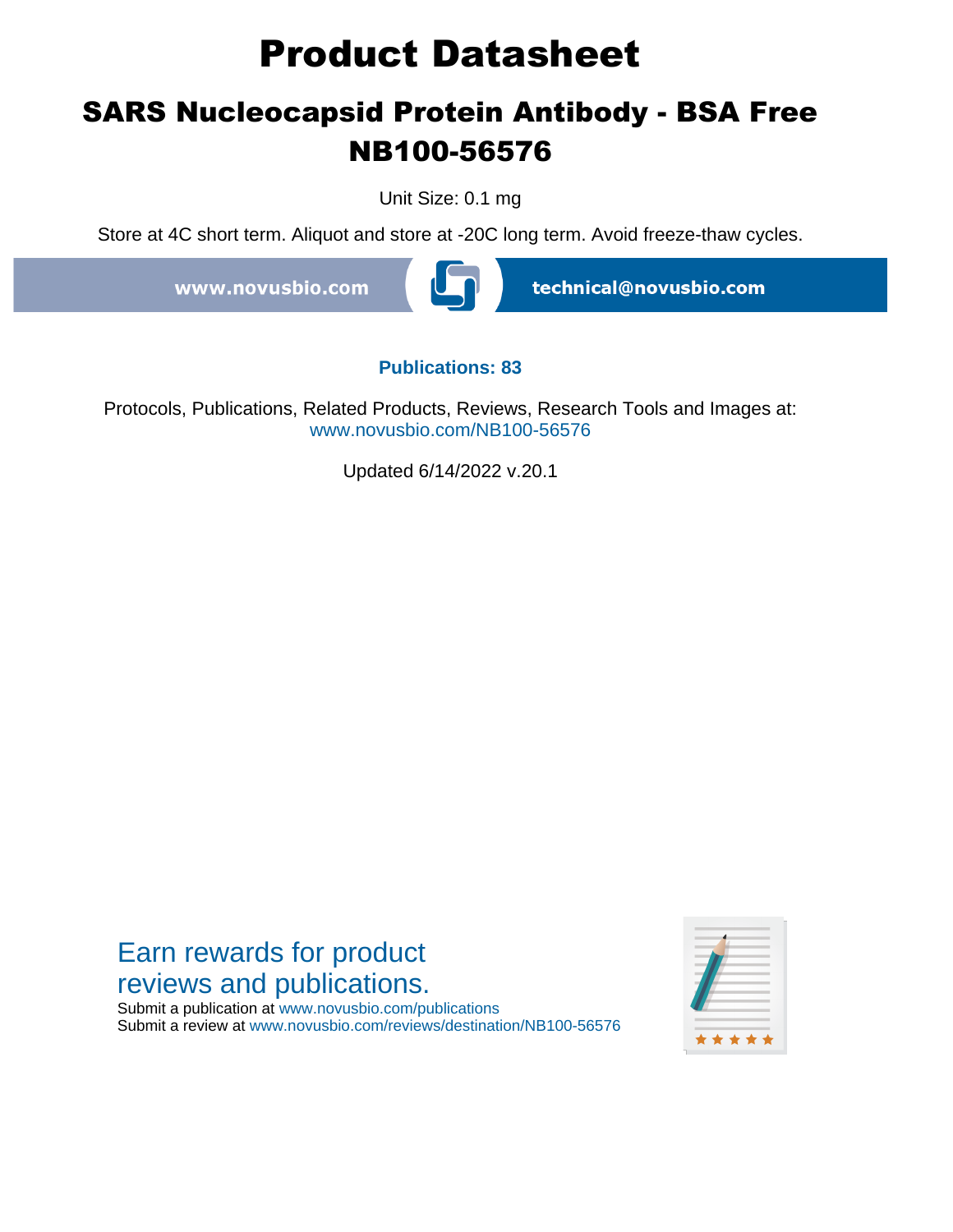# **Product Datasheet**

## **SARS Nucleocapsid Protein Antibody - BSA Free NB100-56576**

Unit Size: 0.1 mg

Store at 4C short term. Aliquot and store at -20C long term. Avoid freeze-thaw cycles.

www.novusbio.com



technical@novusbio.com

#### **Publications: 83**

Protocols, Publications, Related Products, Reviews, Research Tools and Images at: www.novusbio.com/NB100-56576

Updated 6/14/2022 v.20.1

## Earn rewards for product reviews and publications.

Submit a publication at www.novusbio.com/publications Submit a review at www.novusbio.com/reviews/destination/NB100-56576

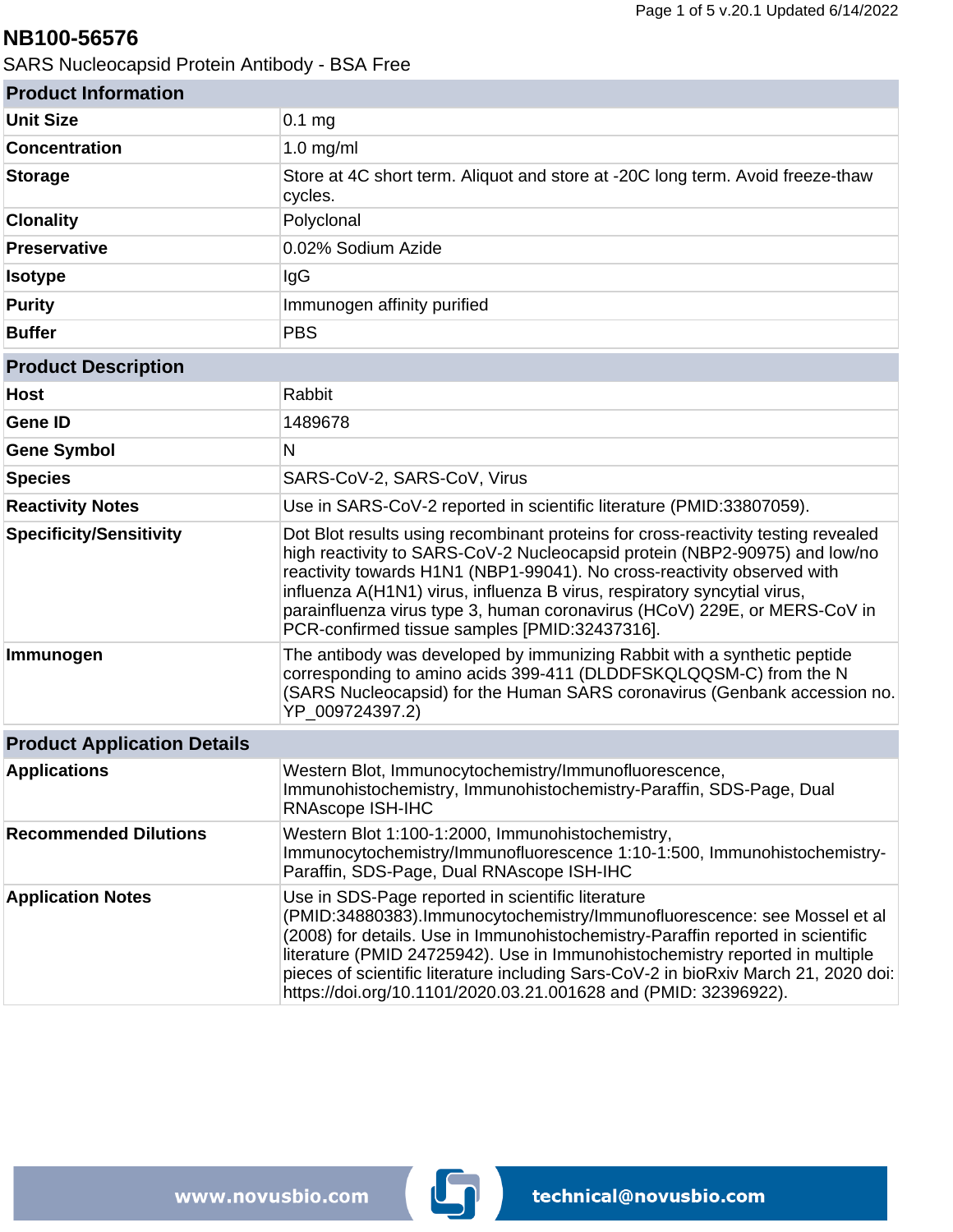### **NB100-56576**

SARS Nucleocapsid Protein Antibody - BSA Free

| <b>Product Information</b>         |                                                                                                                                                                                                                                                                                                                                                                                                                                                            |
|------------------------------------|------------------------------------------------------------------------------------------------------------------------------------------------------------------------------------------------------------------------------------------------------------------------------------------------------------------------------------------------------------------------------------------------------------------------------------------------------------|
| <b>Unit Size</b>                   | $0.1$ mg                                                                                                                                                                                                                                                                                                                                                                                                                                                   |
| <b>Concentration</b>               | $1.0$ mg/ml                                                                                                                                                                                                                                                                                                                                                                                                                                                |
| <b>Storage</b>                     | Store at 4C short term. Aliquot and store at -20C long term. Avoid freeze-thaw<br>cycles.                                                                                                                                                                                                                                                                                                                                                                  |
| <b>Clonality</b>                   | Polyclonal                                                                                                                                                                                                                                                                                                                                                                                                                                                 |
| <b>Preservative</b>                | 0.02% Sodium Azide                                                                                                                                                                                                                                                                                                                                                                                                                                         |
| <b>Isotype</b>                     | IgG                                                                                                                                                                                                                                                                                                                                                                                                                                                        |
| <b>Purity</b>                      | Immunogen affinity purified                                                                                                                                                                                                                                                                                                                                                                                                                                |
| <b>Buffer</b>                      | <b>PBS</b>                                                                                                                                                                                                                                                                                                                                                                                                                                                 |
| <b>Product Description</b>         |                                                                                                                                                                                                                                                                                                                                                                                                                                                            |
| <b>Host</b>                        | Rabbit                                                                                                                                                                                                                                                                                                                                                                                                                                                     |
| <b>Gene ID</b>                     | 1489678                                                                                                                                                                                                                                                                                                                                                                                                                                                    |
| <b>Gene Symbol</b>                 | N                                                                                                                                                                                                                                                                                                                                                                                                                                                          |
| <b>Species</b>                     | SARS-CoV-2, SARS-CoV, Virus                                                                                                                                                                                                                                                                                                                                                                                                                                |
| <b>Reactivity Notes</b>            | Use in SARS-CoV-2 reported in scientific literature (PMID:33807059).                                                                                                                                                                                                                                                                                                                                                                                       |
| <b>Specificity/Sensitivity</b>     | Dot Blot results using recombinant proteins for cross-reactivity testing revealed<br>high reactivity to SARS-CoV-2 Nucleocapsid protein (NBP2-90975) and low/no<br>reactivity towards H1N1 (NBP1-99041). No cross-reactivity observed with<br>influenza A(H1N1) virus, influenza B virus, respiratory syncytial virus,<br>parainfluenza virus type 3, human coronavirus (HCoV) 229E, or MERS-CoV in<br>PCR-confirmed tissue samples [PMID:32437316].       |
| Immunogen                          | The antibody was developed by immunizing Rabbit with a synthetic peptide<br>corresponding to amino acids 399-411 (DLDDFSKQLQQSM-C) from the N<br>(SARS Nucleocapsid) for the Human SARS coronavirus (Genbank accession no.<br>YP_009724397.2)                                                                                                                                                                                                              |
| <b>Product Application Details</b> |                                                                                                                                                                                                                                                                                                                                                                                                                                                            |
| <b>Applications</b>                | Western Blot, Immunocytochemistry/Immunofluorescence.<br>Immunohistochemistry, Immunohistochemistry-Paraffin, SDS-Page, Dual<br><b>RNAscope ISH-IHC</b>                                                                                                                                                                                                                                                                                                    |
| <b>Recommended Dilutions</b>       | Western Blot 1:100-1:2000, Immunohistochemistry,<br>Immunocytochemistry/Immunofluorescence 1:10-1:500, Immunohistochemistry-<br>Paraffin, SDS-Page, Dual RNAscope ISH-IHC                                                                                                                                                                                                                                                                                  |
| <b>Application Notes</b>           | Use in SDS-Page reported in scientific literature<br>(PMID:34880383).Immunocytochemistry/Immunofluorescence: see Mossel et al<br>(2008) for details. Use in Immunohistochemistry-Paraffin reported in scientific<br>literature (PMID 24725942). Use in Immunohistochemistry reported in multiple<br>pieces of scientific literature including Sars-CoV-2 in bioRxiv March 21, 2020 doi:<br>https://doi.org/10.1101/2020.03.21.001628 and (PMID: 32396922). |

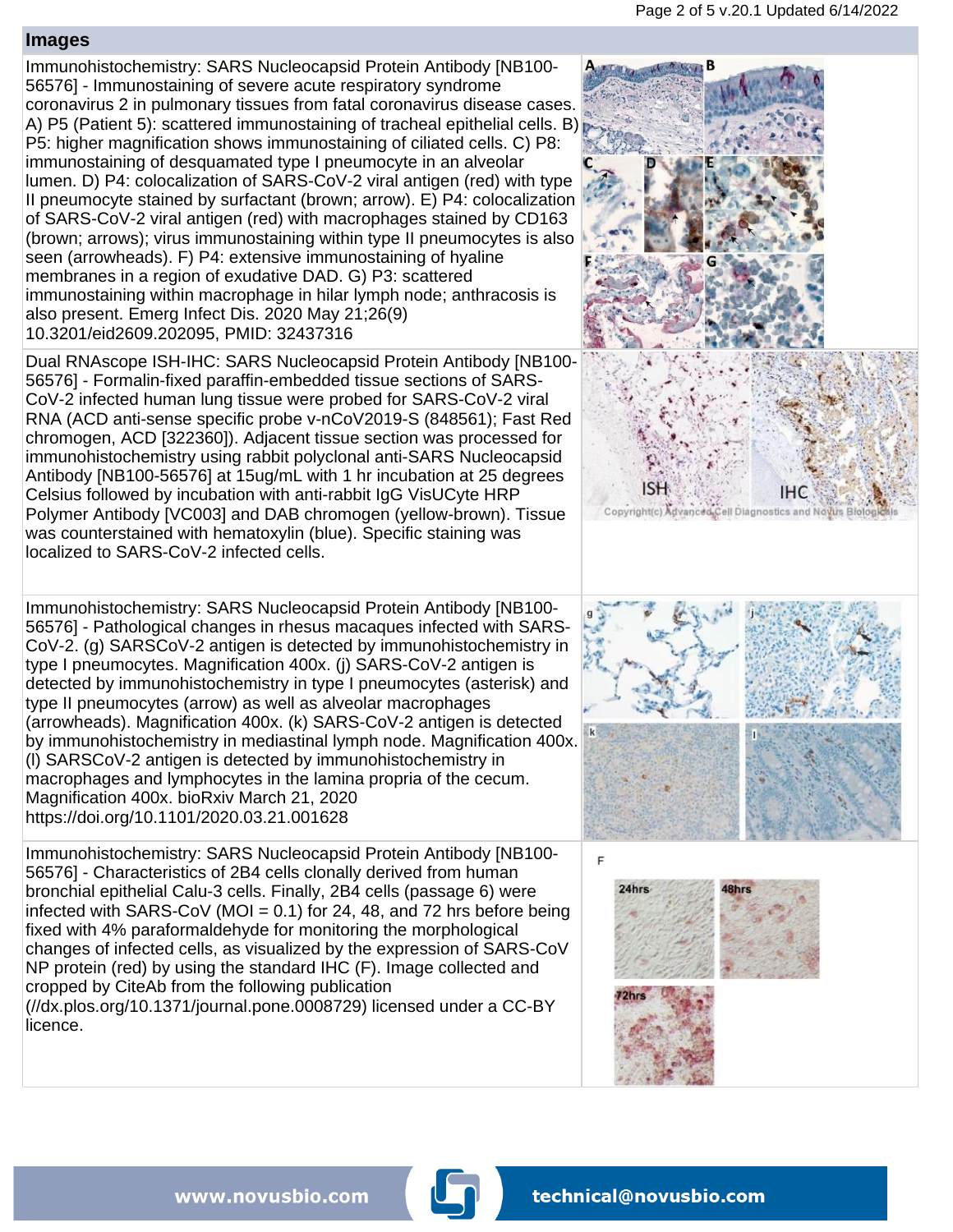#### **Images**

Immunohistochemistry: SARS Nucleocapsid Protein Antibody [NB100- 56576] - Immunostaining of severe acute respiratory syndrome coronavirus 2 in pulmonary tissues from fatal coronavirus disease cases. A) P5 (Patient 5): scattered immunostaining of tracheal epithelial cells. B) P5: higher magnification shows immunostaining of ciliated cells. C) P8: immunostaining of desquamated type I pneumocyte in an alveolar lumen. D) P4: colocalization of SARS-CoV-2 viral antigen (red) with type II pneumocyte stained by surfactant (brown; arrow). E) P4: colocalization of SARS-CoV-2 viral antigen (red) with macrophages stained by CD163 (brown; arrows); virus immunostaining within type II pneumocytes is also seen (arrowheads). F) P4: extensive immunostaining of hyaline membranes in a region of exudative DAD. G) P3: scattered immunostaining within macrophage in hilar lymph node; anthracosis is also present. Emerg Infect Dis. 2020 May 21;26(9) 10.3201/eid2609.202095, PMID: 32437316

Dual RNAscope ISH-IHC: SARS Nucleocapsid Protein Antibody [NB100- 56576] - Formalin-fixed paraffin-embedded tissue sections of SARS-CoV-2 infected human lung tissue were probed for SARS-CoV-2 viral RNA (ACD anti-sense specific probe v-nCoV2019-S (848561); Fast Red chromogen, ACD [322360]). Adjacent tissue section was processed for immunohistochemistry using rabbit polyclonal anti-SARS Nucleocapsid Antibody [NB100-56576] at 15ug/mL with 1 hr incubation at 25 degrees Celsius followed by incubation with anti-rabbit IgG VisUCyte HRP Polymer Antibody [VC003] and DAB chromogen (yellow-brown). Tissue was counterstained with hematoxylin (blue). Specific staining was localized to SARS-CoV-2 infected cells.

Immunohistochemistry: SARS Nucleocapsid Protein Antibody [NB100- 56576] - Pathological changes in rhesus macaques infected with SARS-CoV-2. (g) SARSCoV-2 antigen is detected by immunohistochemistry in type I pneumocytes. Magnification 400x. (j) SARS-CoV-2 antigen is detected by immunohistochemistry in type I pneumocytes (asterisk) and type II pneumocytes (arrow) as well as alveolar macrophages (arrowheads). Magnification 400x. (k) SARS-CoV-2 antigen is detected by immunohistochemistry in mediastinal lymph node. Magnification 400x. (l) SARSCoV-2 antigen is detected by immunohistochemistry in macrophages and lymphocytes in the lamina propria of the cecum. Magnification 400x. bioRxiv March 21, 2020 https://doi.org/10.1101/2020.03.21.001628

Immunohistochemistry: SARS Nucleocapsid Protein Antibody [NB100- 56576] - Characteristics of 2B4 cells clonally derived from human bronchial epithelial Calu-3 cells. Finally, 2B4 cells (passage 6) were infected with  $SARS-CoV$  (MOI = 0.1) for 24, 48, and 72 hrs before being fixed with 4% paraformaldehyde for monitoring the morphological changes of infected cells, as visualized by the expression of SARS-CoV NP protein (red) by using the standard IHC (F). Image collected and cropped by CiteAb from the following publication (//dx.plos.org/10.1371/journal.pone.0008729) licensed under a CC-BY licence.



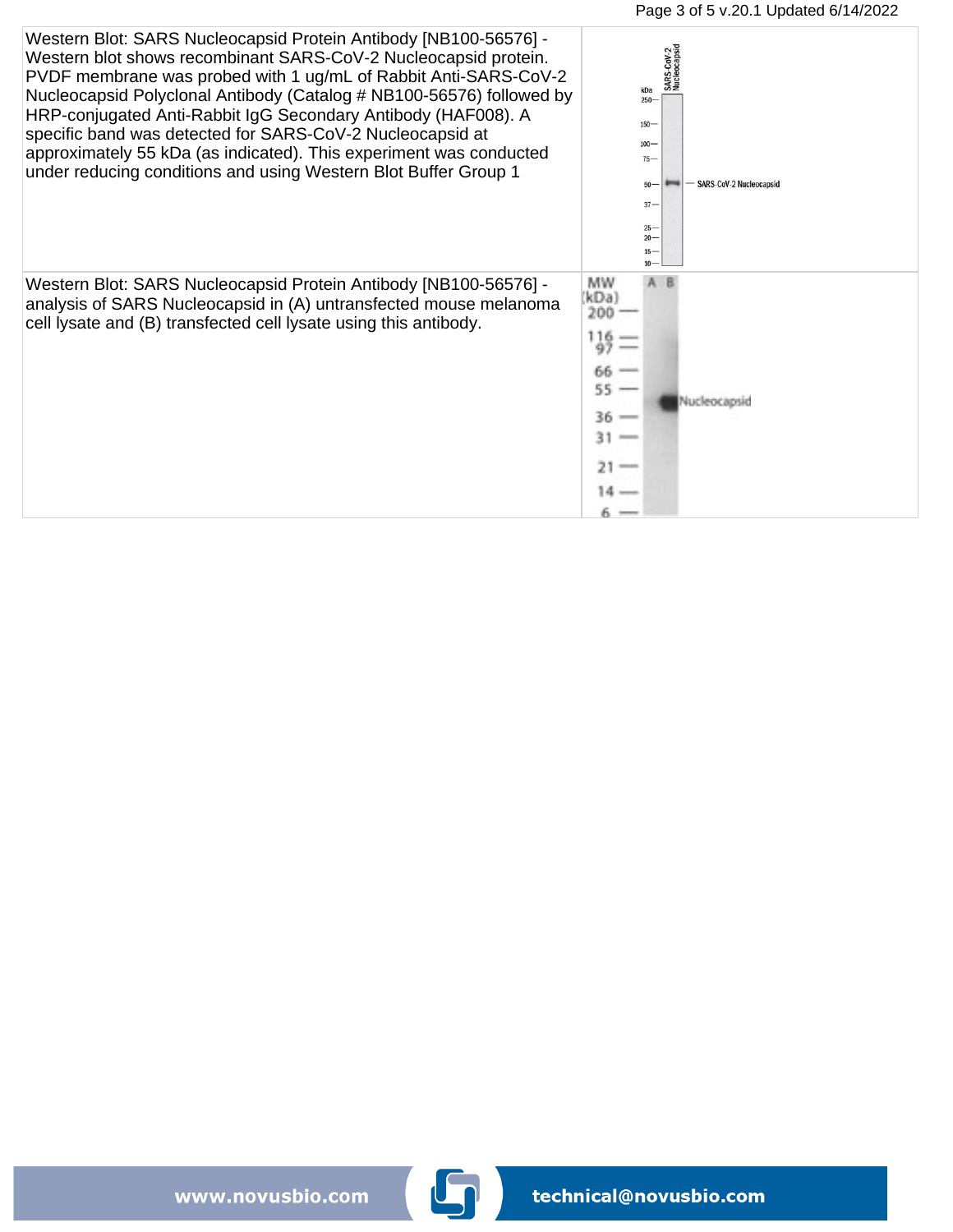

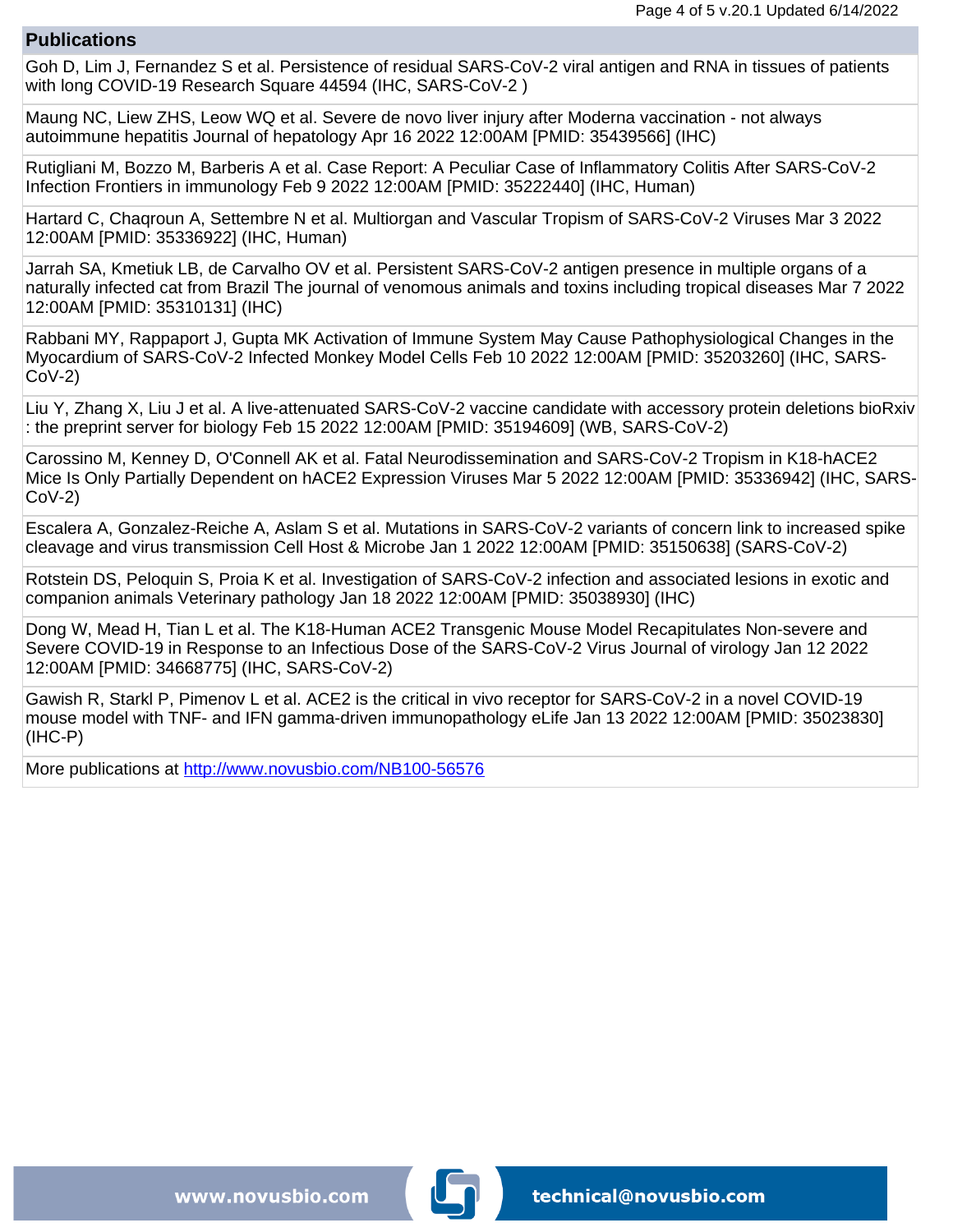#### **Publications**

Goh D, Lim J, Fernandez S et al. Persistence of residual SARS-CoV-2 viral antigen and RNA in tissues of patients with long COVID-19 Research Square 44594 (IHC, SARS-CoV-2 )

Maung NC, Liew ZHS, Leow WQ et al. Severe de novo liver injury after Moderna vaccination - not always autoimmune hepatitis Journal of hepatology Apr 16 2022 12:00AM [PMID: 35439566] (IHC)

Rutigliani M, Bozzo M, Barberis A et al. Case Report: A Peculiar Case of Inflammatory Colitis After SARS-CoV-2 Infection Frontiers in immunology Feb 9 2022 12:00AM [PMID: 35222440] (IHC, Human)

Hartard C, Chaqroun A, Settembre N et al. Multiorgan and Vascular Tropism of SARS-CoV-2 Viruses Mar 3 2022 12:00AM [PMID: 35336922] (IHC, Human)

Jarrah SA, Kmetiuk LB, de Carvalho OV et al. Persistent SARS-CoV-2 antigen presence in multiple organs of a naturally infected cat from Brazil The journal of venomous animals and toxins including tropical diseases Mar 7 2022 12:00AM [PMID: 35310131] (IHC)

Rabbani MY, Rappaport J, Gupta MK Activation of Immune System May Cause Pathophysiological Changes in the Myocardium of SARS-CoV-2 Infected Monkey Model Cells Feb 10 2022 12:00AM [PMID: 35203260] (IHC, SARS-CoV-2)

Liu Y, Zhang X, Liu J et al. A live-attenuated SARS-CoV-2 vaccine candidate with accessory protein deletions bioRxiv : the preprint server for biology Feb 15 2022 12:00AM [PMID: 35194609] (WB, SARS-CoV-2)

Carossino M, Kenney D, O'Connell AK et al. Fatal Neurodissemination and SARS-CoV-2 Tropism in K18-hACE2 Mice Is Only Partially Dependent on hACE2 Expression Viruses Mar 5 2022 12:00AM [PMID: 35336942] (IHC, SARS-CoV-2)

Escalera A, Gonzalez-Reiche A, Aslam S et al. Mutations in SARS-CoV-2 variants of concern link to increased spike cleavage and virus transmission Cell Host & Microbe Jan 1 2022 12:00AM [PMID: 35150638] (SARS-CoV-2)

Rotstein DS, Peloquin S, Proia K et al. Investigation of SARS-CoV-2 infection and associated lesions in exotic and companion animals Veterinary pathology Jan 18 2022 12:00AM [PMID: 35038930] (IHC)

Dong W, Mead H, Tian L et al. The K18-Human ACE2 Transgenic Mouse Model Recapitulates Non-severe and Severe COVID-19 in Response to an Infectious Dose of the SARS-CoV-2 Virus Journal of virology Jan 12 2022 12:00AM [PMID: 34668775] (IHC, SARS-CoV-2)

Gawish R, Starkl P, Pimenov L et al. ACE2 is the critical in vivo receptor for SARS-CoV-2 in a novel COVID-19 mouse model with TNF- and IFN gamma-driven immunopathology eLife Jan 13 2022 12:00AM [PMID: 35023830] (IHC-P)

More publications at [http://www.novusbio.com/NB100-56576](https://www.novusbio.com/products/sars-nucleocapsid-protein-antibody_nb100-56576)